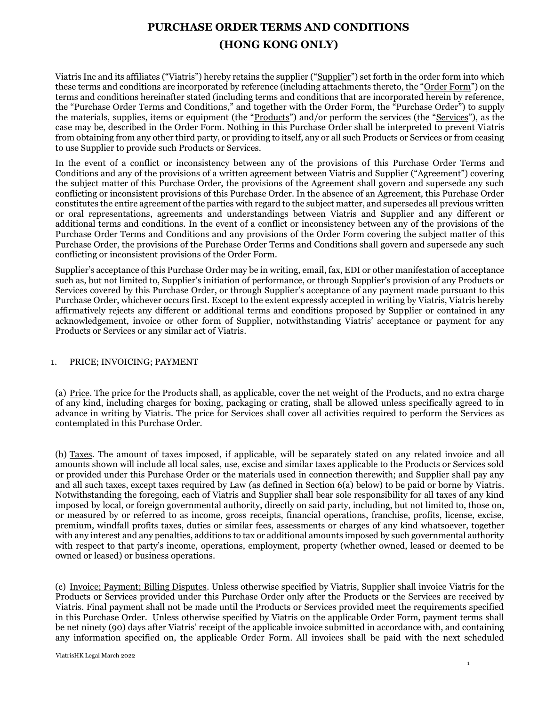# **PURCHASE ORDER TERMS AND CONDITIONS (HONG KONG ONLY)**

Viatris Inc and its affiliates ("Viatris") hereby retains the supplier ("Supplier") set forth in the order form into which these terms and conditions are incorporated by reference (including attachments thereto, the "Order Form") on the terms and conditions hereinafter stated (including terms and conditions that are incorporated herein by reference, the "Purchase Order Terms and Conditions," and together with the Order Form, the "Purchase Order") to supply the materials, supplies, items or equipment (the "Products") and/or perform the services (the "Services"), as the case may be, described in the Order Form. Nothing in this Purchase Order shall be interpreted to prevent Viatris from obtaining from any other third party, or providing to itself, any or all such Products or Services or from ceasing to use Supplier to provide such Products or Services.

In the event of a conflict or inconsistency between any of the provisions of this Purchase Order Terms and Conditions and any of the provisions of a written agreement between Viatris and Supplier ("Agreement") covering the subject matter of this Purchase Order, the provisions of the Agreement shall govern and supersede any such conflicting or inconsistent provisions of this Purchase Order. In the absence of an Agreement, this Purchase Order constitutes the entire agreement of the parties with regard to the subject matter, and supersedes all previous written or oral representations, agreements and understandings between Viatris and Supplier and any different or additional terms and conditions. In the event of a conflict or inconsistency between any of the provisions of the Purchase Order Terms and Conditions and any provisions of the Order Form covering the subject matter of this Purchase Order, the provisions of the Purchase Order Terms and Conditions shall govern and supersede any such conflicting or inconsistent provisions of the Order Form.

Supplier's acceptance of this Purchase Order may be in writing, email, fax, EDI or other manifestation of acceptance such as, but not limited to, Supplier's initiation of performance, or through Supplier's provision of any Products or Services covered by this Purchase Order, or through Supplier's acceptance of any payment made pursuant to this Purchase Order, whichever occurs first. Except to the extent expressly accepted in writing by Viatris, Viatris hereby affirmatively rejects any different or additional terms and conditions proposed by Supplier or contained in any acknowledgement, invoice or other form of Supplier, notwithstanding Viatris' acceptance or payment for any Products or Services or any similar act of Viatris.

# 1. PRICE; INVOICING; PAYMENT

(a) Price. The price for the Products shall, as applicable, cover the net weight of the Products, and no extra charge of any kind, including charges for boxing, packaging or crating, shall be allowed unless specifically agreed to in advance in writing by Viatris. The price for Services shall cover all activities required to perform the Services as contemplated in this Purchase Order.

(b) Taxes. The amount of taxes imposed, if applicable, will be separately stated on any related invoice and all amounts shown will include all local sales, use, excise and similar taxes applicable to the Products or Services sold or provided under this Purchase Order or the materials used in connection therewith; and Supplier shall pay any and all such taxes, except taxes required by Law (as defined in  $Section 6(a)$  below) to be paid or borne by Viatris. Notwithstanding the foregoing, each of Viatris and Supplier shall bear sole responsibility for all taxes of any kind imposed by local, or foreign governmental authority, directly on said party, including, but not limited to, those on, or measured by or referred to as income, gross receipts, financial operations, franchise, profits, license, excise, premium, windfall profits taxes, duties or similar fees, assessments or charges of any kind whatsoever, together with any interest and any penalties, additions to tax or additional amounts imposed by such governmental authority with respect to that party's income, operations, employment, property (whether owned, leased or deemed to be owned or leased) or business operations.

(c) Invoice; Payment; Billing Disputes. Unless otherwise specified by Viatris, Supplier shall invoice Viatris for the Products or Services provided under this Purchase Order only after the Products or the Services are received by Viatris. Final payment shall not be made until the Products or Services provided meet the requirements specified in this Purchase Order. Unless otherwise specified by Viatris on the applicable Order Form, payment terms shall be net ninety (90) days after Viatris' receipt of the applicable invoice submitted in accordance with, and containing any information specified on, the applicable Order Form. All invoices shall be paid with the next scheduled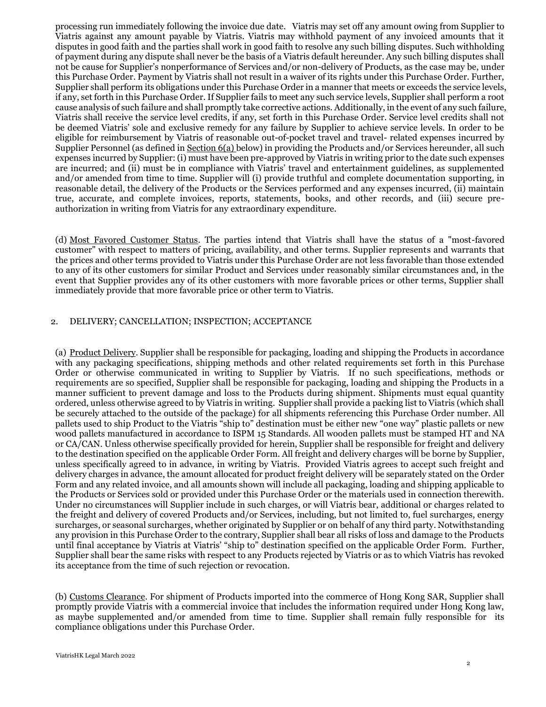processing run immediately following the invoice due date. Viatris may set off any amount owing from Supplier to Viatris against any amount payable by Viatris. Viatris may withhold payment of any invoiced amounts that it disputes in good faith and the parties shall work in good faith to resolve any such billing disputes. Such withholding of payment during any dispute shall never be the basis of a Viatris default hereunder. Any such billing disputes shall not be cause for Supplier's nonperformance of Services and/or non-delivery of Products, as the case may be, under this Purchase Order. Payment by Viatris shall not result in a waiver of its rights under this Purchase Order. Further, Supplier shall perform its obligations under this Purchase Order in a manner that meets or exceeds the service levels, if any, set forth in this Purchase Order. If Supplier fails to meet any such service levels, Supplier shall perform a root cause analysis of such failure and shall promptly take corrective actions. Additionally, in the event of any such failure, Viatris shall receive the service level credits, if any, set forth in this Purchase Order. Service level credits shall not be deemed Viatris' sole and exclusive remedy for any failure by Supplier to achieve service levels. In order to be eligible for reimbursement by Viatris of reasonable out-of-pocket travel and travel- related expenses incurred by Supplier Personnel (as defined in Section 6(a) below) in providing the Products and/or Services hereunder, all such expenses incurred by Supplier: (i) must have been pre-approved by Viatris in writing prior to the date such expenses are incurred; and (ii) must be in compliance with Viatris' travel and entertainment guidelines, as supplemented and/or amended from time to time. Supplier will (i) provide truthful and complete documentation supporting, in reasonable detail, the delivery of the Products or the Services performed and any expenses incurred, (ii) maintain true, accurate, and complete invoices, reports, statements, books, and other records, and (iii) secure preauthorization in writing from Viatris for any extraordinary expenditure.

(d) Most Favored Customer Status. The parties intend that Viatris shall have the status of a "most-favored customer" with respect to matters of pricing, availability, and other terms. Supplier represents and warrants that the prices and other terms provided to Viatris under this Purchase Order are not less favorable than those extended to any of its other customers for similar Product and Services under reasonably similar circumstances and, in the event that Supplier provides any of its other customers with more favorable prices or other terms, Supplier shall immediately provide that more favorable price or other term to Viatris.

### 2. DELIVERY; CANCELLATION; INSPECTION; ACCEPTANCE

(a) Product Delivery. Supplier shall be responsible for packaging, loading and shipping the Products in accordance with any packaging specifications, shipping methods and other related requirements set forth in this Purchase Order or otherwise communicated in writing to Supplier by Viatris. If no such specifications, methods or requirements are so specified, Supplier shall be responsible for packaging, loading and shipping the Products in a manner sufficient to prevent damage and loss to the Products during shipment. Shipments must equal quantity ordered, unless otherwise agreed to by Viatris in writing. Supplier shall provide a packing list to Viatris (which shall be securely attached to the outside of the package) for all shipments referencing this Purchase Order number. All pallets used to ship Product to the Viatris "ship to" destination must be either new "one way" plastic pallets or new wood pallets manufactured in accordance to ISPM 15 Standards. All wooden pallets must be stamped HT and NA or CA/CAN. Unless otherwise specifically provided for herein, Supplier shall be responsible for freight and delivery to the destination specified on the applicable Order Form. All freight and delivery charges will be borne by Supplier, unless specifically agreed to in advance, in writing by Viatris. Provided Viatris agrees to accept such freight and delivery charges in advance, the amount allocated for product freight delivery will be separately stated on the Order Form and any related invoice, and all amounts shown will include all packaging, loading and shipping applicable to the Products or Services sold or provided under this Purchase Order or the materials used in connection therewith. Under no circumstances will Supplier include in such charges, or will Viatris bear, additional or charges related to the freight and delivery of covered Products and/or Services, including, but not limited to, fuel surcharges, energy surcharges, or seasonal surcharges, whether originated by Supplier or on behalf of any third party. Notwithstanding any provision in this Purchase Order to the contrary, Supplier shall bear all risks of loss and damage to the Products until final acceptance by Viatris at Viatris' "ship to" destination specified on the applicable Order Form. Further, Supplier shall bear the same risks with respect to any Products rejected by Viatris or as to which Viatris has revoked its acceptance from the time of such rejection or revocation.

(b) Customs Clearance. For shipment of Products imported into the commerce of Hong Kong SAR, Supplier shall promptly provide Viatris with a commercial invoice that includes the information required under Hong Kong law, as maybe supplemented and/or amended from time to time. Supplier shall remain fully responsible for its compliance obligations under this Purchase Order.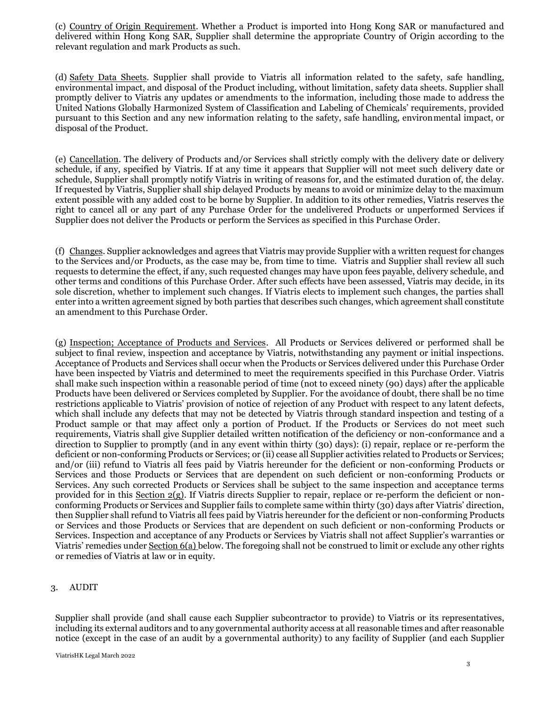(c) Country of Origin Requirement. Whether a Product is imported into Hong Kong SAR or manufactured and delivered within Hong Kong SAR, Supplier shall determine the appropriate Country of Origin according to the relevant regulation and mark Products as such.

(d) Safety Data Sheets. Supplier shall provide to Viatris all information related to the safety, safe handling, environmental impact, and disposal of the Product including, without limitation, safety data sheets. Supplier shall promptly deliver to Viatris any updates or amendments to the information, including those made to address the United Nations Globally Harmonized System of Classification and Labeling of Chemicals' requirements, provided pursuant to this Section and any new information relating to the safety, safe handling, environmental impact, or disposal of the Product.

(e) Cancellation. The delivery of Products and/or Services shall strictly comply with the delivery date or delivery schedule, if any, specified by Viatris. If at any time it appears that Supplier will not meet such delivery date or schedule, Supplier shall promptly notify Viatris in writing of reasons for, and the estimated duration of, the delay. If requested by Viatris, Supplier shall ship delayed Products by means to avoid or minimize delay to the maximum extent possible with any added cost to be borne by Supplier. In addition to its other remedies, Viatris reserves the right to cancel all or any part of any Purchase Order for the undelivered Products or unperformed Services if Supplier does not deliver the Products or perform the Services as specified in this Purchase Order.

(f) Changes. Supplier acknowledges and agrees that Viatris may provide Supplier with a written request for changes to the Services and/or Products, as the case may be, from time to time. Viatris and Supplier shall review all such requests to determine the effect, if any, such requested changes may have upon fees payable, delivery schedule, and other terms and conditions of this Purchase Order. After such effects have been assessed, Viatris may decide, in its sole discretion, whether to implement such changes. If Viatris elects to implement such changes, the parties shall enter into a written agreement signed by both parties that describes such changes, which agreement shall constitute an amendment to this Purchase Order.

(g) Inspection; Acceptance of Products and Services. All Products or Services delivered or performed shall be subject to final review, inspection and acceptance by Viatris, notwithstanding any payment or initial inspections. Acceptance of Products and Services shall occur when the Products or Services delivered under this Purchase Order have been inspected by Viatris and determined to meet the requirements specified in this Purchase Order. Viatris shall make such inspection within a reasonable period of time (not to exceed ninety (90) days) after the applicable Products have been delivered or Services completed by Supplier. For the avoidance of doubt, there shall be no time restrictions applicable to Viatris' provision of notice of rejection of any Product with respect to any latent defects, which shall include any defects that may not be detected by Viatris through standard inspection and testing of a Product sample or that may affect only a portion of Product. If the Products or Services do not meet such requirements, Viatris shall give Supplier detailed written notification of the deficiency or non-conformance and a direction to Supplier to promptly (and in any event within thirty (30) days): (i) repair, replace or re-perform the deficient or non-conforming Products or Services; or (ii) cease all Supplier activities related to Products or Services; and/or (iii) refund to Viatris all fees paid by Viatris hereunder for the deficient or non-conforming Products or Services and those Products or Services that are dependent on such deficient or non-conforming Products or Services. Any such corrected Products or Services shall be subject to the same inspection and acceptance terms provided for in this Section 2(g). If Viatris directs Supplier to repair, replace or re-perform the deficient or nonconforming Products or Services and Supplier fails to complete same within thirty (30) days after Viatris' direction, then Supplier shall refund to Viatris all fees paid by Viatris hereunder for the deficient or non-conforming Products or Services and those Products or Services that are dependent on such deficient or non-conforming Products or Services. Inspection and acceptance of any Products or Services by Viatris shall not affect Supplier's warranties or Viatris' remedies under Section 6(a) below. The foregoing shall not be construed to limit or exclude any other rights or remedies of Viatris at law or in equity.

# 3. AUDIT

Supplier shall provide (and shall cause each Supplier subcontractor to provide) to Viatris or its representatives, including its external auditors and to any governmental authority access at all reasonable times and after reasonable notice (except in the case of an audit by a governmental authority) to any facility of Supplier (and each Supplier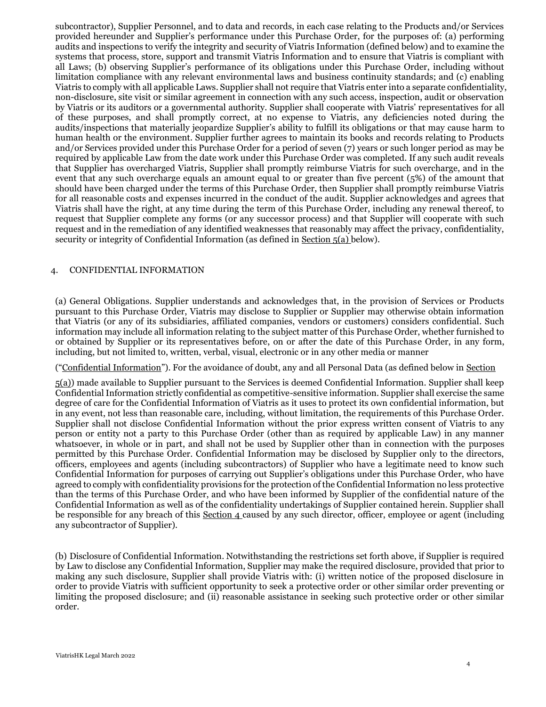subcontractor), Supplier Personnel, and to data and records, in each case relating to the Products and/or Services provided hereunder and Supplier's performance under this Purchase Order, for the purposes of: (a) performing audits and inspections to verify the integrity and security of Viatris Information (defined below) and to examine the systems that process, store, support and transmit Viatris Information and to ensure that Viatris is compliant with all Laws; (b) observing Supplier's performance of its obligations under this Purchase Order, including without limitation compliance with any relevant environmental laws and business continuity standards; and (c) enabling Viatris to comply with all applicable Laws. Supplier shall not require that Viatris enter into a separate confidentiality, non-disclosure, site visit or similar agreement in connection with any such access, inspection, audit or observation by Viatris or its auditors or a governmental authority. Supplier shall cooperate with Viatris' representatives for all of these purposes, and shall promptly correct, at no expense to Viatris, any deficiencies noted during the audits/inspections that materially jeopardize Supplier's ability to fulfill its obligations or that may cause harm to human health or the environment. Supplier further agrees to maintain its books and records relating to Products and/or Services provided under this Purchase Order for a period of seven (7) years or such longer period as may be required by applicable Law from the date work under this Purchase Order was completed. If any such audit reveals that Supplier has overcharged Viatris, Supplier shall promptly reimburse Viatris for such overcharge, and in the event that any such overcharge equals an amount equal to or greater than five percent (5%) of the amount that should have been charged under the terms of this Purchase Order, then Supplier shall promptly reimburse Viatris for all reasonable costs and expenses incurred in the conduct of the audit. Supplier acknowledges and agrees that Viatris shall have the right, at any time during the term of this Purchase Order, including any renewal thereof, to request that Supplier complete any forms (or any successor process) and that Supplier will cooperate with such request and in the remediation of any identified weaknesses that reasonably may affect the privacy, confidentiality, security or integrity of Confidential Information (as defined in Section 5(a) below).

### 4. CONFIDENTIAL INFORMATION

(a) General Obligations. Supplier understands and acknowledges that, in the provision of Services or Products pursuant to this Purchase Order, Viatris may disclose to Supplier or Supplier may otherwise obtain information that Viatris (or any of its subsidiaries, affiliated companies, vendors or customers) considers confidential. Such information may include all information relating to the subject matter of this Purchase Order, whether furnished to or obtained by Supplier or its representatives before, on or after the date of this Purchase Order, in any form, including, but not limited to, written, verbal, visual, electronic or in any other media or manner

("Confidential Information"). For the avoidance of doubt, any and all Personal Data (as defined below in Section

5(a)) made available to Supplier pursuant to the Services is deemed Confidential Information. Supplier shall keep Confidential Information strictly confidential as competitive-sensitive information. Supplier shall exercise the same degree of care for the Confidential Information of Viatris as it uses to protect its own confidential information, but in any event, not less than reasonable care, including, without limitation, the requirements of this Purchase Order. Supplier shall not disclose Confidential Information without the prior express written consent of Viatris to any person or entity not a party to this Purchase Order (other than as required by applicable Law) in any manner whatsoever, in whole or in part, and shall not be used by Supplier other than in connection with the purposes permitted by this Purchase Order. Confidential Information may be disclosed by Supplier only to the directors, officers, employees and agents (including subcontractors) of Supplier who have a legitimate need to know such Confidential Information for purposes of carrying out Supplier's obligations under this Purchase Order, who have agreed to comply with confidentiality provisions for the protection of the Confidential Information no less protective than the terms of this Purchase Order, and who have been informed by Supplier of the confidential nature of the Confidential Information as well as of the confidentiality undertakings of Supplier contained herein. Supplier shall be responsible for any breach of this Section 4 caused by any such director, officer, employee or agent (including any subcontractor of Supplier).

(b) Disclosure of Confidential Information. Notwithstanding the restrictions set forth above, if Supplier is required by Law to disclose any Confidential Information, Supplier may make the required disclosure, provided that prior to making any such disclosure, Supplier shall provide Viatris with: (i) written notice of the proposed disclosure in order to provide Viatris with sufficient opportunity to seek a protective order or other similar order preventing or limiting the proposed disclosure; and (ii) reasonable assistance in seeking such protective order or other similar order.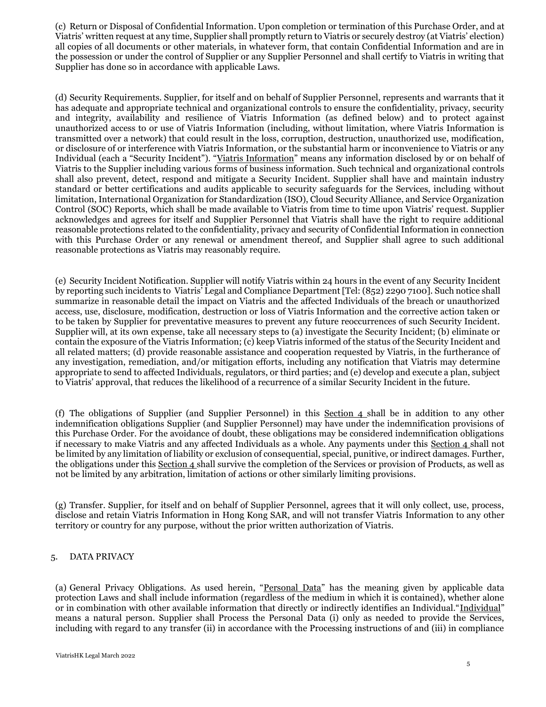(c) Return or Disposal of Confidential Information. Upon completion or termination of this Purchase Order, and at Viatris' written request at any time, Supplier shall promptly return to Viatris or securely destroy (at Viatris' election) all copies of all documents or other materials, in whatever form, that contain Confidential Information and are in the possession or under the control of Supplier or any Supplier Personnel and shall certify to Viatris in writing that Supplier has done so in accordance with applicable Laws.

(d) Security Requirements. Supplier, for itself and on behalf of Supplier Personnel, represents and warrants that it has adequate and appropriate technical and organizational controls to ensure the confidentiality, privacy, security and integrity, availability and resilience of Viatris Information (as defined below) and to protect against unauthorized access to or use of Viatris Information (including, without limitation, where Viatris Information is transmitted over a network) that could result in the loss, corruption, destruction, unauthorized use, modification, or disclosure of or interference with Viatris Information, or the substantial harm or inconvenience to Viatris or any Individual (each a "Security Incident"). "Viatris Information" means any information disclosed by or on behalf of Viatris to the Supplier including various forms of business information. Such technical and organizational controls shall also prevent, detect, respond and mitigate a Security Incident. Supplier shall have and maintain industry standard or better certifications and audits applicable to security safeguards for the Services, including without limitation, International Organization for Standardization (ISO), Cloud Security Alliance, and Service Organization Control (SOC) Reports, which shall be made available to Viatris from time to time upon Viatris' request. Supplier acknowledges and agrees for itself and Supplier Personnel that Viatris shall have the right to require additional reasonable protections related to the confidentiality, privacy and security of Confidential Information in connection with this Purchase Order or any renewal or amendment thereof, and Supplier shall agree to such additional reasonable protections as Viatris may reasonably require.

(e) Security Incident Notification. Supplier will notify Viatris within 24 hours in the event of any Security Incident by reporting such incidents to Viatris' Legal and Compliance Department [Tel: (852) 2290 7100]. Such notice shall summarize in reasonable detail the impact on Viatris and the affected Individuals of the breach or unauthorized access, use, disclosure, modification, destruction or loss of Viatris Information and the corrective action taken or to be taken by Supplier for preventative measures to prevent any future reoccurrences of such Security Incident. Supplier will, at its own expense, take all necessary steps to (a) investigate the Security Incident; (b) eliminate or contain the exposure of the Viatris Information; (c) keep Viatris informed of the status of the Security Incident and all related matters; (d) provide reasonable assistance and cooperation requested by Viatris, in the furtherance of any investigation, remediation, and/or mitigation efforts, including any notification that Viatris may determine appropriate to send to affected Individuals, regulators, or third parties; and (e) develop and execute a plan, subject to Viatris' approval, that reduces the likelihood of a recurrence of a similar Security Incident in the future.

(f) The obligations of Supplier (and Supplier Personnel) in this Section 4 shall be in addition to any other indemnification obligations Supplier (and Supplier Personnel) may have under the indemnification provisions of this Purchase Order. For the avoidance of doubt, these obligations may be considered indemnification obligations if necessary to make Viatris and any affected Individuals as a whole. Any payments under this Section 4 shall not be limited by any limitation of liability or exclusion of consequential, special, punitive, or indirect damages. Further, the obligations under this Section 4 shall survive the completion of the Services or provision of Products, as well as not be limited by any arbitration, limitation of actions or other similarly limiting provisions.

(g) Transfer. Supplier, for itself and on behalf of Supplier Personnel, agrees that it will only collect, use, process, disclose and retain Viatris Information in Hong Kong SAR, and will not transfer Viatris Information to any other territory or country for any purpose, without the prior written authorization of Viatris.

# 5. DATA PRIVACY

(a) General Privacy Obligations. As used herein, "Personal Data" has the meaning given by applicable data protection Laws and shall include information (regardless of the medium in which it is contained), whether alone or in combination with other available information that directly or indirectly identifies an Individual."Individual" means a natural person. Supplier shall Process the Personal Data (i) only as needed to provide the Services, including with regard to any transfer (ii) in accordance with the Processing instructions of and (iii) in compliance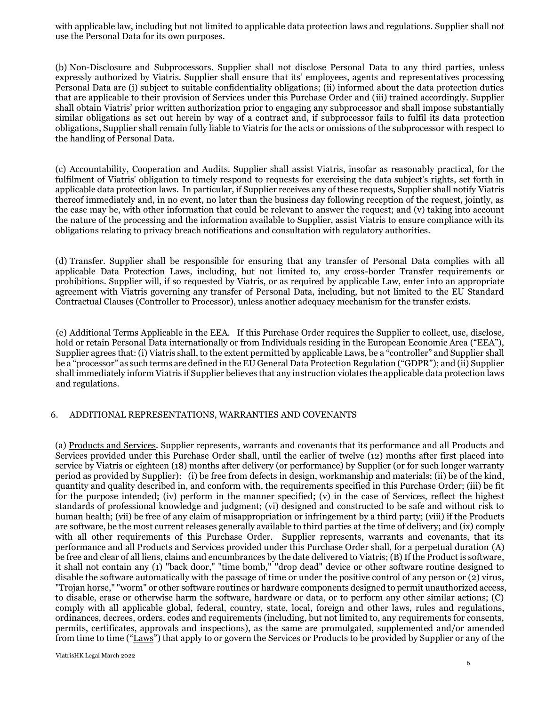with applicable law, including but not limited to applicable data protection laws and regulations. Supplier shall not use the Personal Data for its own purposes.

(b) Non-Disclosure and Subprocessors. Supplier shall not disclose Personal Data to any third parties, unless expressly authorized by Viatris. Supplier shall ensure that its' employees, agents and representatives processing Personal Data are (i) subject to suitable confidentiality obligations; (ii) informed about the data protection duties that are applicable to their provision of Services under this Purchase Order and (iii) trained accordingly. Supplier shall obtain Viatris' prior written authorization prior to engaging any subprocessor and shall impose substantially similar obligations as set out herein by way of a contract and, if subprocessor fails to fulfil its data protection obligations, Supplier shall remain fully liable to Viatris for the acts or omissions of the subprocessor with respect to the handling of Personal Data.

(c) Accountability, Cooperation and Audits. Supplier shall assist Viatris, insofar as reasonably practical, for the fulfilment of Viatris' obligation to timely respond to requests for exercising the data subject's rights, set forth in applicable data protection laws. In particular, if Supplier receives any of these requests, Supplier shall notify Viatris thereof immediately and, in no event, no later than the business day following reception of the request, jointly, as the case may be, with other information that could be relevant to answer the request; and (v) taking into account the nature of the processing and the information available to Supplier, assist Viatris to ensure compliance with its obligations relating to privacy breach notifications and consultation with regulatory authorities.

(d) Transfer. Supplier shall be responsible for ensuring that any transfer of Personal Data complies with all applicable Data Protection Laws, including, but not limited to, any cross-border Transfer requirements or prohibitions. Supplier will, if so requested by Viatris, or as required by applicable Law, enter into an appropriate agreement with Viatris governing any transfer of Personal Data, including, but not limited to the EU Standard Contractual Clauses (Controller to Processor), unless another adequacy mechanism for the transfer exists.

(e) Additional Terms Applicable in the EEA. If this Purchase Order requires the Supplier to collect, use, disclose, hold or retain Personal Data internationally or from Individuals residing in the European Economic Area ("EEA"), Supplier agrees that: (i) Viatris shall, to the extent permitted by applicable Laws, be a "controller" and Supplier shall be a "processor" as such terms are defined in the EU General Data Protection Regulation ("GDPR"); and (ii) Supplier shall immediately inform Viatris if Supplier believes that any instruction violates the applicable data protection laws and regulations.

#### 6. ADDITIONAL REPRESENTATIONS, WARRANTIES AND COVENANTS

(a) Products and Services. Supplier represents, warrants and covenants that its performance and all Products and Services provided under this Purchase Order shall, until the earlier of twelve (12) months after first placed into service by Viatris or eighteen (18) months after delivery (or performance) by Supplier (or for such longer warranty period as provided by Supplier): (i) be free from defects in design, workmanship and materials; (ii) be of the kind, quantity and quality described in, and conform with, the requirements specified in this Purchase Order; (iii) be fit for the purpose intended; (iv) perform in the manner specified; (v) in the case of Services, reflect the highest standards of professional knowledge and judgment; (vi) designed and constructed to be safe and without risk to human health; (vii) be free of any claim of misappropriation or infringement by a third party; (viii) if the Products are software, be the most current releases generally available to third parties at the time of delivery; and (ix) comply with all other requirements of this Purchase Order. Supplier represents, warrants and covenants, that its performance and all Products and Services provided under this Purchase Order shall, for a perpetual duration (A) be free and clear of all liens, claims and encumbrances by the date delivered to Viatris; (B) If the Product is software, it shall not contain any (1) "back door," "time bomb," "drop dead" device or other software routine designed to disable the software automatically with the passage of time or under the positive control of any person or (2) virus, "Trojan horse," "worm" or other software routines or hardware components designed to permit unauthorized access, to disable, erase or otherwise harm the software, hardware or data, or to perform any other similar actions; (C) comply with all applicable global, federal, country, state, local, foreign and other laws, rules and regulations, ordinances, decrees, orders, codes and requirements (including, but not limited to, any requirements for consents, permits, certificates, approvals and inspections), as the same are promulgated, supplemented and/or amended from time to time ("Laws") that apply to or govern the Services or Products to be provided by Supplier or any of the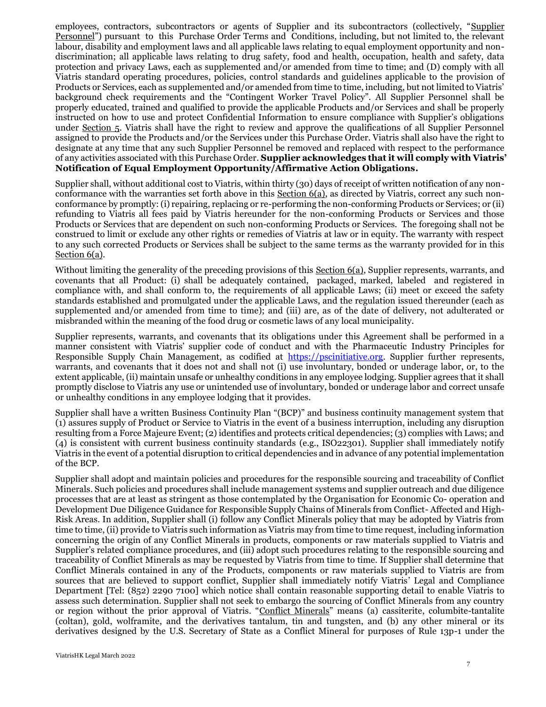employees, contractors, subcontractors or agents of Supplier and its subcontractors (collectively, "Supplier Personnel") pursuant to this Purchase Order Terms and Conditions, including, but not limited to, the relevant labour, disability and employment laws and all applicable laws relating to equal employment opportunity and nondiscrimination; all applicable laws relating to drug safety, food and health, occupation, health and safety, data protection and privacy Laws, each as supplemented and/or amended from time to time; and (D) comply with all Viatris standard operating procedures, policies, control standards and guidelines applicable to the provision of Products or Services, each as supplemented and/or amended from time to time, including, but not limited to Viatris' background check requirements and the "Contingent Worker Travel Policy". All Supplier Personnel shall be properly educated, trained and qualified to provide the applicable Products and/or Services and shall be properly instructed on how to use and protect Confidential Information to ensure compliance with Supplier's obligations under Section 5. Viatris shall have the right to review and approve the qualifications of all Supplier Personnel assigned to provide the Products and/or the Services under this Purchase Order. Viatris shall also have the right to designate at any time that any such Supplier Personnel be removed and replaced with respect to the performance of any activities associated with this Purchase Order. **Supplier acknowledges that it will comply with Viatris' Notification of Equal Employment Opportunity/Affirmative Action Obligations.**

Supplier shall, without additional cost to Viatris, within thirty (30) days of receipt of written notification of any nonconformance with the warranties set forth above in this Section  $6(a)$ , as directed by Viatris, correct any such nonconformance by promptly: (i) repairing, replacing or re-performing the non-conforming Products or Services; or (ii) refunding to Viatris all fees paid by Viatris hereunder for the non-conforming Products or Services and those Products or Services that are dependent on such non-conforming Products or Services. The foregoing shall not be construed to limit or exclude any other rights or remedies of Viatris at law or in equity. The warranty with respect to any such corrected Products or Services shall be subject to the same terms as the warranty provided for in this Section 6(a).

Without limiting the generality of the preceding provisions of this Section 6(a), Supplier represents, warrants, and covenants that all Product: (i) shall be adequately contained, packaged, marked, labeled and registered in compliance with, and shall conform to, the requirements of all applicable Laws; (ii) meet or exceed the safety standards established and promulgated under the applicable Laws, and the regulation issued thereunder (each as supplemented and/or amended from time to time); and (iii) are, as of the date of delivery, not adulterated or misbranded within the meaning of the food drug or cosmetic laws of any local municipality.

Supplier represents, warrants, and covenants that its obligations under this Agreement shall be performed in a manner consistent with Viatris' supplier code of conduct and with the Pharmaceutic Industry Principles for Responsible Supply Chain Management, as codified at [https://pscinitiative.org.](https://pscinitiative.org/resource?resource=1) [S](https://pscinitiative.org/resource?resource=1)upplier further represents, warrants, and covenants that it does not and shall not (i) use involuntary, bonded or underage labor, or, to the extent applicable, (ii) maintain unsafe or unhealthy conditions in any employee lodging. Supplier agrees that it shall promptly disclose to Viatris any use or unintended use of involuntary, bonded or underage labor and correct unsafe or unhealthy conditions in any employee lodging that it provides.

Supplier shall have a written Business Continuity Plan "(BCP)" and business continuity management system that (1) assures supply of Product or Service to Viatris in the event of a business interruption, including any disruption resulting from a Force Majeure Event; (2) identifies and protects critical dependencies; (3) complies with Laws; and (4) is consistent with current business continuity standards (e.g., ISO22301). Supplier shall immediately notify Viatris in the event of a potential disruption to critical dependencies and in advance of any potential implementation of the BCP.

Supplier shall adopt and maintain policies and procedures for the responsible sourcing and traceability of Conflict Minerals. Such policies and procedures shall include management systems and supplier outreach and due diligence processes that are at least as stringent as those contemplated by the Organisation for Economic Co- operation and Development Due Diligence Guidance for Responsible Supply Chains of Minerals from Conflict- Affected and High-Risk Areas. In addition, Supplier shall (i) follow any Conflict Minerals policy that may be adopted by Viatris from time to time, (ii) provide to Viatris such information as Viatris may from time to time request, including information concerning the origin of any Conflict Minerals in products, components or raw materials supplied to Viatris and Supplier's related compliance procedures, and (iii) adopt such procedures relating to the responsible sourcing and traceability of Conflict Minerals as may be requested by Viatris from time to time. If Supplier shall determine that Conflict Minerals contained in any of the Products, components or raw materials supplied to Viatris are from sources that are believed to support conflict, Supplier shall immediately notify Viatris' Legal and Compliance Department [Tel: (852) 2290 7100] which notice shall contain reasonable supporting detail to enable Viatris to assess such determination. Supplier shall not seek to embargo the sourcing of Conflict Minerals from any country or region without the prior approval of Viatris. "Conflict Minerals" means (a) cassiterite, columbite-tantalite (coltan), gold, wolframite, and the derivatives tantalum, tin and tungsten, and (b) any other mineral or its derivatives designed by the U.S. Secretary of State as a Conflict Mineral for purposes of Rule 13p-1 under the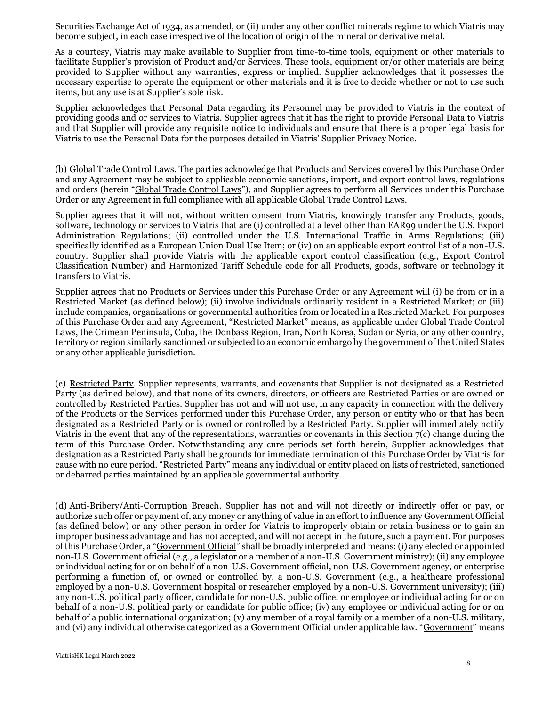Securities Exchange Act of 1934, as amended, or (ii) under any other conflict minerals regime to which Viatris may become subject, in each case irrespective of the location of origin of the mineral or derivative metal.

As a courtesy, Viatris may make available to Supplier from time-to-time tools, equipment or other materials to facilitate Supplier's provision of Product and/or Services. These tools, equipment or/or other materials are being provided to Supplier without any warranties, express or implied. Supplier acknowledges that it possesses the necessary expertise to operate the equipment or other materials and it is free to decide whether or not to use such items, but any use is at Supplier's sole risk.

Supplier acknowledges that Personal Data regarding its Personnel may be provided to Viatris in the context of providing goods and or services to Viatris. Supplier agrees that it has the right to provide Personal Data to Viatris and that Supplier will provide any requisite notice to individuals and ensure that there is a proper legal basis for Viatris to use the Personal Data for the purposes detailed in Viatris' Supplier Privacy Notice.

(b) Global Trade Control Laws. The parties acknowledge that Products and Services covered by this Purchase Order and any Agreement may be subject to applicable economic sanctions, import, and export control laws, regulations and orders (herein "Global Trade Control Laws"), and Supplier agrees to perform all Services under this Purchase Order or any Agreement in full compliance with all applicable Global Trade Control Laws.

Supplier agrees that it will not, without written consent from Viatris, knowingly transfer any Products, goods, software, technology or services to Viatris that are (i) controlled at a level other than EAR99 under the U.S. Export Administration Regulations; (ii) controlled under the U.S. International Traffic in Arms Regulations; (iii) specifically identified as a European Union Dual Use Item; or (iv) on an applicable export control list of a non-U.S. country. Supplier shall provide Viatris with the applicable export control classification (e.g., Export Control Classification Number) and Harmonized Tariff Schedule code for all Products, goods, software or technology it transfers to Viatris.

Supplier agrees that no Products or Services under this Purchase Order or any Agreement will (i) be from or in a Restricted Market (as defined below); (ii) involve individuals ordinarily resident in a Restricted Market; or (iii) include companies, organizations or governmental authorities from or located in a Restricted Market. For purposes of this Purchase Order and any Agreement, "Restricted Market" means, as applicable under Global Trade Control Laws, the Crimean Peninsula, Cuba, the Donbass Region, Iran, North Korea, Sudan or Syria, or any other country, territory or region similarly sanctioned or subjected to an economic embargo by the government of the United States or any other applicable jurisdiction.

(c) Restricted Party. Supplier represents, warrants, and covenants that Supplier is not designated as a Restricted Party (as defined below), and that none of its owners, directors, or officers are Restricted Parties or are owned or controlled by Restricted Parties. Supplier has not and will not use, in any capacity in connection with the delivery of the Products or the Services performed under this Purchase Order, any person or entity who or that has been designated as a Restricted Party or is owned or controlled by a Restricted Party. Supplier will immediately notify Viatris in the event that any of the representations, warranties or covenants in this Section 7(c) change during the term of this Purchase Order. Notwithstanding any cure periods set forth herein, Supplier acknowledges that designation as a Restricted Party shall be grounds for immediate termination of this Purchase Order by Viatris for cause with no cure period. "Restricted Party" means any individual or entity placed on lists of restricted, sanctioned or debarred parties maintained by an applicable governmental authority.

(d) Anti-Bribery/Anti-Corruption Breach. Supplier has not and will not directly or indirectly offer or pay, or authorize such offer or payment of, any money or anything of value in an effort to influence any Government Official (as defined below) or any other person in order for Viatris to improperly obtain or retain business or to gain an improper business advantage and has not accepted, and will not accept in the future, such a payment. For purposes of this Purchase Order, a "Government Official" shall be broadly interpreted and means: (i) any elected or appointed non-U.S. Government official (e.g., a legislator or a member of a non-U.S. Government ministry); (ii) any employee or individual acting for or on behalf of a non-U.S. Government official, non-U.S. Government agency, or enterprise performing a function of, or owned or controlled by, a non-U.S. Government (e.g., a healthcare professional employed by a non-U.S. Government hospital or researcher employed by a non-U.S. Government university); (iii) any non-U.S. political party officer, candidate for non-U.S. public office, or employee or individual acting for or on behalf of a non-U.S. political party or candidate for public office; (iv) any employee or individual acting for or on behalf of a public international organization; (v) any member of a royal family or a member of a non-U.S. military, and (vi) any individual otherwise categorized as a Government Official under applicable law. "Government" means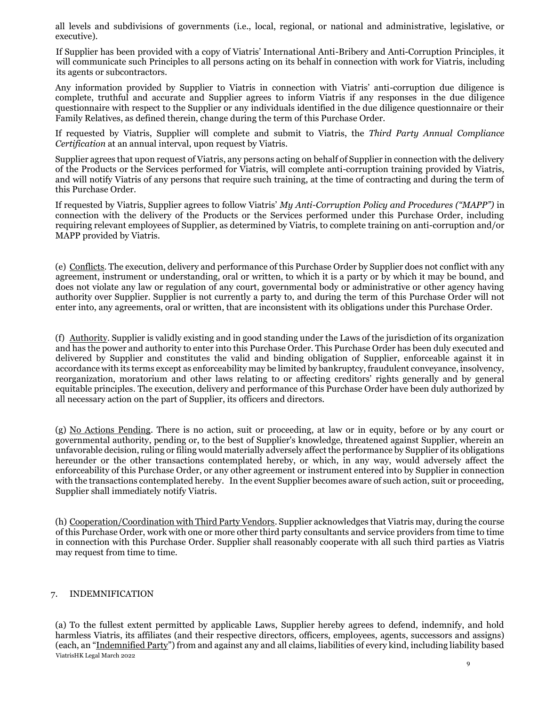all levels and subdivisions of governments (i.e., local, regional, or national and administrative, legislative, or executive).

If Supplier has been provided with a copy of Viatris' International Anti-Bribery and Anti-Corruption Principles, it will communicate such Principles to all persons acting on its behalf in connection with work for Viatris, including its agents or subcontractors.

Any information provided by Supplier to Viatris in connection with Viatris' anti-corruption due diligence is complete, truthful and accurate and Supplier agrees to inform Viatris if any responses in the due diligence questionnaire with respect to the Supplier or any individuals identified in the due diligence questionnaire or their Family Relatives, as defined therein, change during the term of this Purchase Order.

If requested by Viatris, Supplier will complete and submit to Viatris, the *Third Party Annual Compliance Certification* at an annual interval, upon request by Viatris.

Supplier agrees that upon request of Viatris, any persons acting on behalf of Supplier in connection with the delivery of the Products or the Services performed for Viatris, will complete anti-corruption training provided by Viatris, and will notify Viatris of any persons that require such training, at the time of contracting and during the term of this Purchase Order.

If requested by Viatris, Supplier agrees to follow Viatris' *My Anti-Corruption Policy and Procedures ("MAPP")* in connection with the delivery of the Products or the Services performed under this Purchase Order, including requiring relevant employees of Supplier, as determined by Viatris, to complete training on anti-corruption and/or MAPP provided by Viatris.

(e) Conflicts. The execution, delivery and performance of this Purchase Order by Supplier does not conflict with any agreement, instrument or understanding, oral or written, to which it is a party or by which it may be bound, and does not violate any law or regulation of any court, governmental body or administrative or other agency having authority over Supplier. Supplier is not currently a party to, and during the term of this Purchase Order will not enter into, any agreements, oral or written, that are inconsistent with its obligations under this Purchase Order.

(f) Authority. Supplier is validly existing and in good standing under the Laws of the jurisdiction of its organization and has the power and authority to enter into this Purchase Order. This Purchase Order has been duly executed and delivered by Supplier and constitutes the valid and binding obligation of Supplier, enforceable against it in accordance with its terms except as enforceability may be limited by bankruptcy, fraudulent conveyance, insolvency, reorganization, moratorium and other laws relating to or affecting creditors' rights generally and by general equitable principles. The execution, delivery and performance of this Purchase Order have been duly authorized by all necessary action on the part of Supplier, its officers and directors.

(g) No Actions Pending. There is no action, suit or proceeding, at law or in equity, before or by any court or governmental authority, pending or, to the best of Supplier's knowledge, threatened against Supplier, wherein an unfavorable decision, ruling or filing would materially adversely affect the performance by Supplier of its obligations hereunder or the other transactions contemplated hereby, or which, in any way, would adversely affect the enforceability of this Purchase Order, or any other agreement or instrument entered into by Supplier in connection with the transactions contemplated hereby. In the event Supplier becomes aware of such action, suit or proceeding, Supplier shall immediately notify Viatris.

(h) Cooperation/Coordination with Third Party Vendors. Supplier acknowledges that Viatris may, during the course of this Purchase Order, work with one or more other third party consultants and service providers from time to time in connection with this Purchase Order. Supplier shall reasonably cooperate with all such third parties as Viatris may request from time to time.

# 7. INDEMNIFICATION

ViatrisHK Legal March 2022 (a) To the fullest extent permitted by applicable Laws, Supplier hereby agrees to defend, indemnify, and hold harmless Viatris, its affiliates (and their respective directors, officers, employees, agents, successors and assigns) (each, an "Indemnified Party") from and against any and all claims, liabilities of every kind, including liability based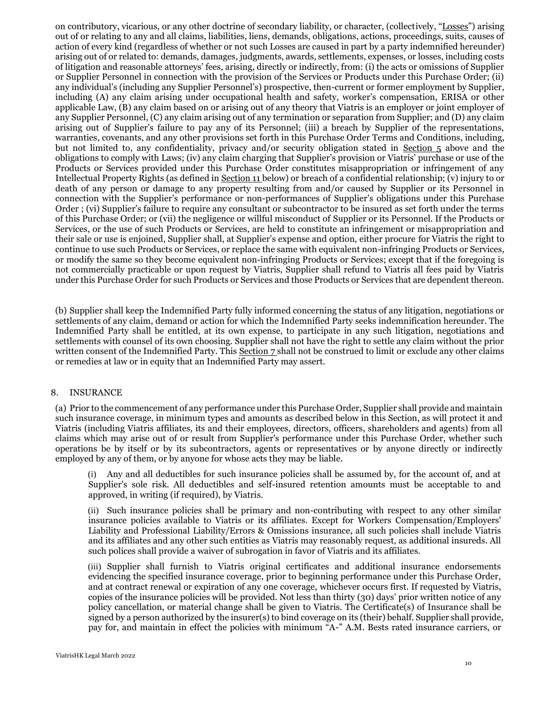on contributory, vicarious, or any other doctrine of secondary liability, or character, (collectively, "Losses") arising out of or relating to any and all claims, liabilities, liens, demands, obligations, actions, proceedings, suits, causes of action of every kind (regardless of whether or not such Losses are caused in part by a party indemnified hereunder) arising out of or related to: demands, damages, judgments, awards, settlements, expenses, or losses, including costs of litigation and reasonable attorneys' fees, arising, directly or indirectly, from: (i) the acts or omissions of Supplier or Supplier Personnel in connection with the provision of the Services or Products under this Purchase Order; (ii) any individual's (including any Supplier Personnel's) prospective, then-current or former employment by Supplier, including (A) any claim arising under occupational health and safety, worker's compensation, ERISA or other applicable Law, (B) any claim based on or arising out of any theory that Viatris is an employer or joint employer of any Supplier Personnel, (C) any claim arising out of any termination or separation from Supplier; and (D) any claim arising out of Supplier's failure to pay any of its Personnel; (iii) a breach by Supplier of the representations, warranties, covenants, and any other provisions set forth in this Purchase Order Terms and Conditions, including, but not limited to, any confidentiality, privacy and/or security obligation stated in Section 5 above and the obligations to comply with Laws; (iv) any claim charging that Supplier's provision or Viatris' purchase or use of the Products or Services provided under this Purchase Order constitutes misappropriation or infringement of any Intellectual Property Rights (as defined in Section 11 below) or breach of a confidential relationship; (v) injury to or death of any person or damage to any property resulting from and/or caused by Supplier or its Personnel in connection with the Supplier's performance or non-performances of Supplier's obligations under this Purchase Order ; (vi) Supplier's failure to require any consultant or subcontractor to be insured as set forth under the terms of this Purchase Order; or (vii) the negligence or willful misconduct of Supplier or its Personnel. If the Products or Services, or the use of such Products or Services, are held to constitute an infringement or misappropriation and their sale or use is enjoined, Supplier shall, at Supplier's expense and option, either procure for Viatris the right to continue to use such Products or Services, or replace the same with equivalent non-infringing Products or Services, or modify the same so they become equivalent non-infringing Products or Services; except that if the foregoing is not commercially practicable or upon request by Viatris, Supplier shall refund to Viatris all fees paid by Viatris under this Purchase Order for such Products or Services and those Products or Services that are dependent thereon.

(b) Supplier shall keep the Indemnified Party fully informed concerning the status of any litigation, negotiations or settlements of any claim, demand or action for which the Indemnified Party seeks indemnification hereunder. The Indemnified Party shall be entitled, at its own expense, to participate in any such litigation, negotiations and settlements with counsel of its own choosing. Supplier shall not have the right to settle any claim without the prior written consent of the Indemnified Party. This Section 7 shall not be construed to limit or exclude any other claims or remedies at law or in equity that an Indemnified Party may assert.

# 8. INSURANCE

(a) Prior to the commencement of any performance under this Purchase Order, Supplier shall provide and maintain such insurance coverage, in minimum types and amounts as described below in this Section, as will protect it and Viatris (including Viatris affiliates, its and their employees, directors, officers, shareholders and agents) from all claims which may arise out of or result from Supplier's performance under this Purchase Order, whether such operations be by itself or by its subcontractors, agents or representatives or by anyone directly or indirectly employed by any of them, or by anyone for whose acts they may be liable.

(i) Any and all deductibles for such insurance policies shall be assumed by, for the account of, and at Supplier's sole risk. All deductibles and self-insured retention amounts must be acceptable to and approved, in writing (if required), by Viatris.

(ii) Such insurance policies shall be primary and non-contributing with respect to any other similar insurance policies available to Viatris or its affiliates. Except for Workers Compensation/Employers' Liability and Professional Liability/Errors & Omissions insurance, all such policies shall include Viatris and its affiliates and any other such entities as Viatris may reasonably request, as additional insureds. All such polices shall provide a waiver of subrogation in favor of Viatris and its affiliates.

(iii) Supplier shall furnish to Viatris original certificates and additional insurance endorsements evidencing the specified insurance coverage, prior to beginning performance under this Purchase Order, and at contract renewal or expiration of any one coverage, whichever occurs first. If requested by Viatris, copies of the insurance policies will be provided. Not less than thirty (30) days' prior written notice of any policy cancellation, or material change shall be given to Viatris. The Certificate(s) of Insurance shall be signed by a person authorized by the insurer(s) to bind coverage on its (their) behalf. Supplier shall provide, pay for, and maintain in effect the policies with minimum "A-" A.M. Bests rated insurance carriers, or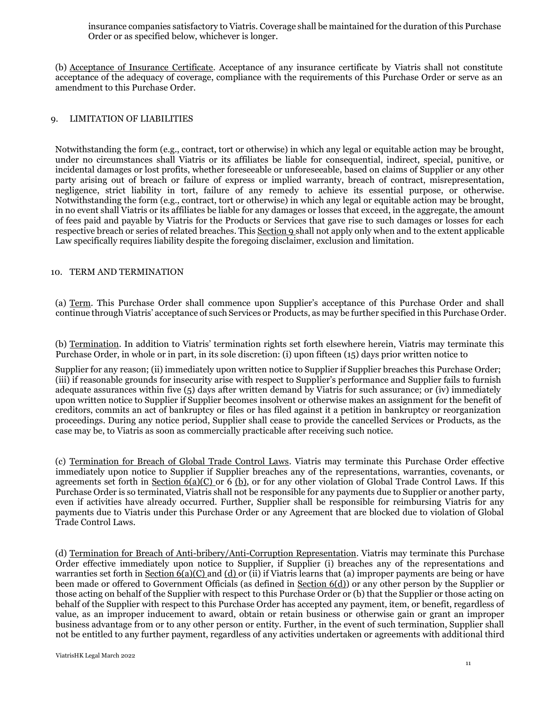insurance companies satisfactory to Viatris. Coverage shall be maintained for the duration of this Purchase Order or as specified below, whichever is longer.

(b) Acceptance of Insurance Certificate. Acceptance of any insurance certificate by Viatris shall not constitute acceptance of the adequacy of coverage, compliance with the requirements of this Purchase Order or serve as an amendment to this Purchase Order.

## 9. LIMITATION OF LIABILITIES

Notwithstanding the form (e.g., contract, tort or otherwise) in which any legal or equitable action may be brought, under no circumstances shall Viatris or its affiliates be liable for consequential, indirect, special, punitive, or incidental damages or lost profits, whether foreseeable or unforeseeable, based on claims of Supplier or any other party arising out of breach or failure of express or implied warranty, breach of contract, misrepresentation, negligence, strict liability in tort, failure of any remedy to achieve its essential purpose, or otherwise. Notwithstanding the form (e.g., contract, tort or otherwise) in which any legal or equitable action may be brought, in no event shall Viatris or its affiliates be liable for any damages or losses that exceed, in the aggregate, the amount of fees paid and payable by Viatris for the Products or Services that gave rise to such damages or losses for each respective breach or series of related breaches. This Section 9 shall not apply only when and to the extent applicable Law specifically requires liability despite the foregoing disclaimer, exclusion and limitation.

### 10. TERM AND TERMINATION

(a) Term. This Purchase Order shall commence upon Supplier's acceptance of this Purchase Order and shall continue through Viatris' acceptance of such Services or Products, as may be further specified in this Purchase Order.

(b) Termination. In addition to Viatris' termination rights set forth elsewhere herein, Viatris may terminate this Purchase Order, in whole or in part, in its sole discretion: (i) upon fifteen (15) days prior written notice to

Supplier for any reason; (ii) immediately upon written notice to Supplier if Supplier breaches this Purchase Order; (iii) if reasonable grounds for insecurity arise with respect to Supplier's performance and Supplier fails to furnish adequate assurances within five (5) days after written demand by Viatris for such assurance; or (iv) immediately upon written notice to Supplier if Supplier becomes insolvent or otherwise makes an assignment for the benefit of creditors, commits an act of bankruptcy or files or has filed against it a petition in bankruptcy or reorganization proceedings. During any notice period, Supplier shall cease to provide the cancelled Services or Products, as the case may be, to Viatris as soon as commercially practicable after receiving such notice.

(c) Termination for Breach of Global Trade Control Laws. Viatris may terminate this Purchase Order effective immediately upon notice to Supplier if Supplier breaches any of the representations, warranties, covenants, or agreements set forth in Section  $6(a)(C)$  or 6 (b), or for any other violation of Global Trade Control Laws. If this Purchase Order is so terminated, Viatris shall not be responsible for any payments due to Supplier or another party, even if activities have already occurred. Further, Supplier shall be responsible for reimbursing Viatris for any payments due to Viatris under this Purchase Order or any Agreement that are blocked due to violation of Global Trade Control Laws.

(d) Termination for Breach of Anti-bribery/Anti-Corruption Representation. Viatris may terminate this Purchase Order effective immediately upon notice to Supplier, if Supplier (i) breaches any of the representations and warranties set forth in Section  $6(a)(C)$  and  $(d)$  or (ii) if Viatris learns that (a) improper payments are being or have been made or offered to Government Officials (as defined in Section 6(d)) or any other person by the Supplier or those acting on behalf of the Supplier with respect to this Purchase Order or (b) that the Supplier or those acting on behalf of the Supplier with respect to this Purchase Order has accepted any payment, item, or benefit, regardless of value, as an improper inducement to award, obtain or retain business or otherwise gain or grant an improper business advantage from or to any other person or entity. Further, in the event of such termination, Supplier shall not be entitled to any further payment, regardless of any activities undertaken or agreements with additional third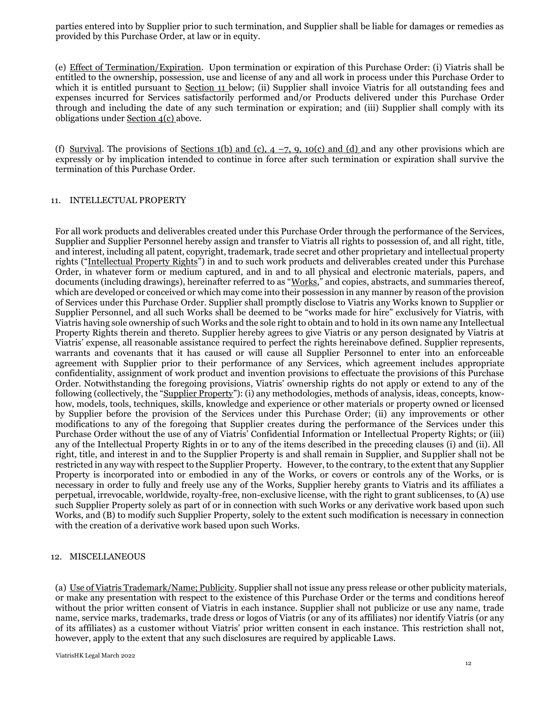parties entered into by Supplier prior to such termination, and Supplier shall be liable for damages or remedies as provided by this Purchase Order, at law or in equity.

(e) Effect of Termination/Expiration. Upon termination or expiration of this Purchase Order: (i) Viatris shall be entitled to the ownership, possession, use and license of any and all work in process under this Purchase Order to which it is entitled pursuant to Section 11 below; (ii) Supplier shall invoice Viatris for all outstanding fees and expenses incurred for Services satisfactorily performed and/or Products delivered under this Purchase Order through and including the date of any such termination or expiration; and (iii) Supplier shall comply with its obligations under Section 4(c) above.

(f) Survival. The provisions of Sections 1(b) and (c),  $4 - 7$ , 9, 10(c) and (d) and any other provisions which are expressly or by implication intended to continue in force after such termination or expiration shall survive the termination of this Purchase Order.

#### 11. INTELLECTUAL PROPERTY

For all work products and deliverables created under this Purchase Order through the performance of the Services, Supplier and Supplier Personnel hereby assign and transfer to Viatris all rights to possession of, and all right, title, and interest, including all patent, copyright, trademark, trade secret and other proprietary and intellectual property rights ("Intellectual Property Rights") in and to such work products and deliverables created under this Purchase Order, in whatever form or medium captured, and in and to all physical and electronic materials, papers, and documents (including drawings), hereinafter referred to as "Works," and copies, abstracts, and summaries thereof, which are developed or conceived or which may come into their possession in any manner by reason of the provision of Services under this Purchase Order. Supplier shall promptly disclose to Viatris any Works known to Supplier or Supplier Personnel, and all such Works shall be deemed to be "works made for hire" exclusively for Viatris, with Viatris having sole ownership of such Works and the sole right to obtain and to hold in its own name any Intellectual Property Rights therein and thereto. Supplier hereby agrees to give Viatris or any person designated by Viatris at Viatris' expense, all reasonable assistance required to perfect the rights hereinabove defined. Supplier represents, warrants and covenants that it has caused or will cause all Supplier Personnel to enter into an enforceable agreement with Supplier prior to their performance of any Services, which agreement includes appropriate confidentiality, assignment of work product and invention provisions to effectuate the provisions of this Purchase Order. Notwithstanding the foregoing provisions, Viatris' ownership rights do not apply or extend to any of the following (collectively, the "Supplier Property"): (i) any methodologies, methods of analysis, ideas, concepts, knowhow, models, tools, techniques, skills, knowledge and experience or other materials or property owned or licensed by Supplier before the provision of the Services under this Purchase Order; (ii) any improvements or other modifications to any of the foregoing that Supplier creates during the performance of the Services under this Purchase Order without the use of any of Viatris' Confidential Information or Intellectual Property Rights; or (iii) any of the Intellectual Property Rights in or to any of the items described in the preceding clauses (i) and (ii). All right, title, and interest in and to the Supplier Property is and shall remain in Supplier, and Supplier shall not be restricted in any way with respect to the Supplier Property. However, to the contrary, to the extent that any Supplier Property is incorporated into or embodied in any of the Works, or covers or controls any of the Works, or is necessary in order to fully and freely use any of the Works, Supplier hereby grants to Viatris and its affiliates a perpetual, irrevocable, worldwide, royalty-free, non-exclusive license, with the right to grant sublicenses, to (A) use such Supplier Property solely as part of or in connection with such Works or any derivative work based upon such Works, and (B) to modify such Supplier Property, solely to the extent such modification is necessary in connection with the creation of a derivative work based upon such Works.

#### 12. MISCELLANEOUS

(a) Use of Viatris Trademark/Name; Publicity. Supplier shall not issue any press release or other publicity materials, or make any presentation with respect to the existence of this Purchase Order or the terms and conditions hereof without the prior written consent of Viatris in each instance. Supplier shall not publicize or use any name, trade name, service marks, trademarks, trade dress or logos of Viatris (or any of its affiliates) nor identify Viatris (or any of its affiliates) as a customer without Viatris' prior written consent in each instance. This restriction shall not, however, apply to the extent that any such disclosures are required by applicable Laws.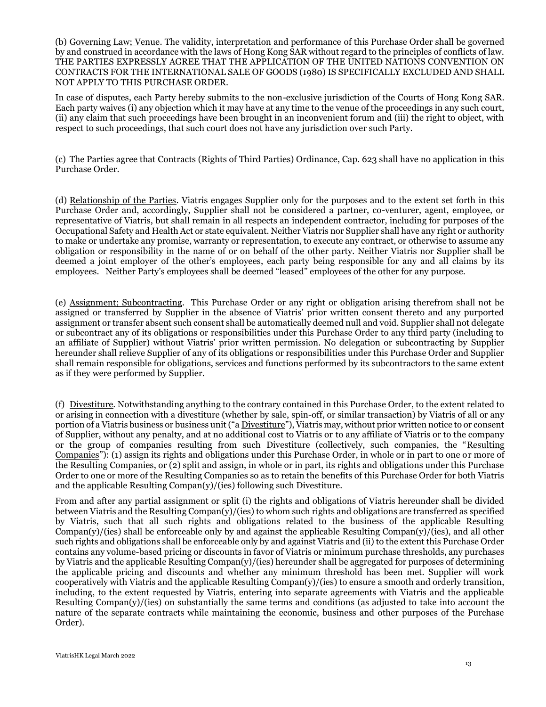(b) Governing Law; Venue. The validity, interpretation and performance of this Purchase Order shall be governed by and construed in accordance with the laws of Hong Kong SAR without regard to the principles of conflicts of law. THE PARTIES EXPRESSLY AGREE THAT THE APPLICATION OF THE UNITED NATIONS CONVENTION ON CONTRACTS FOR THE INTERNATIONAL SALE OF GOODS (1980) IS SPECIFICALLY EXCLUDED AND SHALL NOT APPLY TO THIS PURCHASE ORDER.

In case of disputes, each Party hereby submits to the non-exclusive jurisdiction of the Courts of Hong Kong SAR. Each party waives (i) any objection which it may have at any time to the venue of the proceedings in any such court, (ii) any claim that such proceedings have been brought in an inconvenient forum and (iii) the right to object, with respect to such proceedings, that such court does not have any jurisdiction over such Party.

(c) The Parties agree that Contracts (Rights of Third Parties) Ordinance, Cap. 623 shall have no application in this Purchase Order.

(d) Relationship of the Parties. Viatris engages Supplier only for the purposes and to the extent set forth in this Purchase Order and, accordingly, Supplier shall not be considered a partner, co-venturer, agent, employee, or representative of Viatris, but shall remain in all respects an independent contractor, including for purposes of the Occupational Safety and Health Act or state equivalent. Neither Viatris nor Supplier shall have any right or authority to make or undertake any promise, warranty or representation, to execute any contract, or otherwise to assume any obligation or responsibility in the name of or on behalf of the other party. Neither Viatris nor Supplier shall be deemed a joint employer of the other's employees, each party being responsible for any and all claims by its employees. Neither Party's employees shall be deemed "leased" employees of the other for any purpose.

(e) Assignment; Subcontracting. This Purchase Order or any right or obligation arising therefrom shall not be assigned or transferred by Supplier in the absence of Viatris' prior written consent thereto and any purported assignment or transfer absent such consent shall be automatically deemed null and void. Supplier shall not delegate or subcontract any of its obligations or responsibilities under this Purchase Order to any third party (including to an affiliate of Supplier) without Viatris' prior written permission. No delegation or subcontracting by Supplier hereunder shall relieve Supplier of any of its obligations or responsibilities under this Purchase Order and Supplier shall remain responsible for obligations, services and functions performed by its subcontractors to the same extent as if they were performed by Supplier.

(f) Divestiture. Notwithstanding anything to the contrary contained in this Purchase Order, to the extent related to or arising in connection with a divestiture (whether by sale, spin-off, or similar transaction) by Viatris of all or any portion of a Viatris business or business unit ("a Divestiture"), Viatris may, without prior written notice to or consent of Supplier, without any penalty, and at no additional cost to Viatris or to any affiliate of Viatris or to the company or the group of companies resulting from such Divestiture (collectively, such companies, the "Resulting Companies"): (1) assign its rights and obligations under this Purchase Order, in whole or in part to one or more of the Resulting Companies, or (2) split and assign, in whole or in part, its rights and obligations under this Purchase Order to one or more of the Resulting Companies so as to retain the benefits of this Purchase Order for both Viatris and the applicable Resulting Compan(y)/(ies) following such Divestiture.

From and after any partial assignment or split (i) the rights and obligations of Viatris hereunder shall be divided between Viatris and the Resulting  $\text{Compan}(y)/(ies)$  to whom such rights and obligations are transferred as specified by Viatris, such that all such rights and obligations related to the business of the applicable Resulting  $Compan(y)/(ies)$  shall be enforceable only by and against the applicable Resulting Compan(y)/(ies), and all other such rights and obligations shall be enforceable only by and against Viatris and (ii) to the extent this Purchase Order contains any volume-based pricing or discounts in favor of Viatris or minimum purchase thresholds, any purchases by Viatris and the applicable Resulting Compan(y)/(ies) hereunder shall be aggregated for purposes of determining the applicable pricing and discounts and whether any minimum threshold has been met. Supplier will work cooperatively with Viatris and the applicable Resulting  $\text{Compan}(y)/(ies)$  to ensure a smooth and orderly transition, including, to the extent requested by Viatris, entering into separate agreements with Viatris and the applicable Resulting  $Common(y)/(ies)$  on substantially the same terms and conditions (as adjusted to take into account the nature of the separate contracts while maintaining the economic, business and other purposes of the Purchase Order).